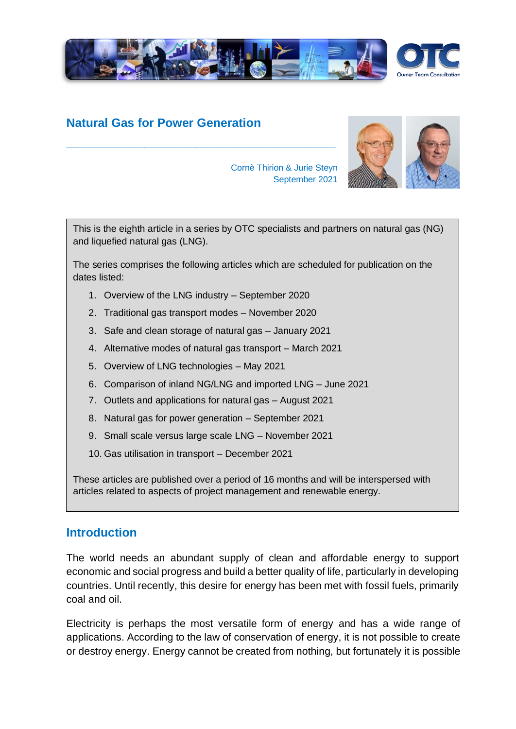

# **Natural Gas for Power Generation**



Cornè Thirion & Jurie Steyn September 2021

This is the eighth article in a series by OTC specialists and partners on natural gas (NG) and liquefied natural gas (LNG).

The series comprises the following articles which are scheduled for publication on the dates listed:

1. Overview of the LNG industry – September 2020

**\_\_\_\_\_\_\_\_\_\_\_\_\_\_\_\_\_\_\_\_\_\_\_\_\_\_\_\_\_\_\_**

- 2. Traditional gas transport modes November 2020
- 3. Safe and clean storage of natural gas January 2021
- 4. Alternative modes of natural gas transport March 2021
- 5. Overview of LNG technologies May 2021
- 6. Comparison of inland NG/LNG and imported LNG June 2021
- 7. Outlets and applications for natural gas August 2021
- 8. Natural gas for power generation September 2021
- 9. Small scale versus large scale LNG November 2021
- 10. Gas utilisation in transport December 2021

These articles are published over a period of 16 months and will be interspersed with articles related to aspects of project management and renewable energy.

# **Introduction**

The world needs an abundant supply of clean and affordable energy to support economic and social progress and build a better quality of life, particularly in developing countries. Until recently, this desire for energy has been met with fossil fuels, primarily coal and oil.

Electricity is perhaps the most versatile form of energy and has a wide range of applications. According to the law of conservation of energy, it is not possible to create or destroy energy. Energy cannot be created from nothing, but fortunately it is possible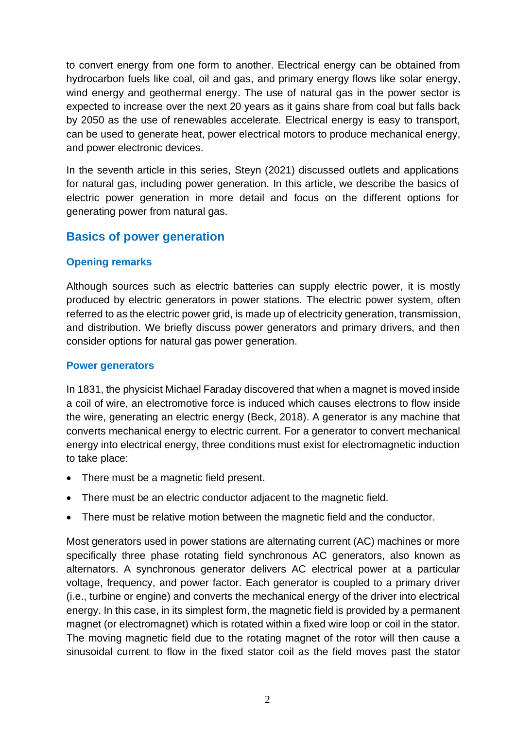to convert energy from one form to another. Electrical energy can be obtained from hydrocarbon fuels like coal, oil and gas, and primary energy flows like solar energy, wind energy and geothermal energy. The use of natural gas in the power sector is expected to increase over the next 20 years as it gains share from coal but falls back by 2050 as the use of renewables accelerate. Electrical energy is easy to transport, can be used to generate heat, power electrical motors to produce mechanical energy, and power electronic devices.

In the seventh article in this series, Steyn (2021) discussed outlets and applications for natural gas, including power generation. In this article, we describe the basics of electric power generation in more detail and focus on the different options for generating power from natural gas.

# **Basics of power generation**

### **Opening remarks**

Although sources such as electric batteries can supply electric power, it is mostly produced by electric generators in power stations. The electric power system, often referred to as the electric power grid, is made up of electricity generation, transmission, and distribution. We briefly discuss power generators and primary drivers, and then consider options for natural gas power generation.

#### **Power generators**

In 1831, the physicist Michael Faraday discovered that when a magnet is moved inside a coil of wire, an electromotive force is induced which causes electrons to flow inside the wire, generating an electric energy (Beck, 2018). A generator is any machine that converts mechanical energy to electric current. For a generator to convert mechanical energy into electrical energy, three conditions must exist for electromagnetic induction to take place:

- There must be a magnetic field present.
- There must be an electric conductor adjacent to the magnetic field.
- There must be relative motion between the magnetic field and the conductor.

Most generators used in power stations are alternating current (AC) machines or more specifically three phase rotating field synchronous AC generators, also known as alternators. A synchronous generator delivers AC electrical power at a particular voltage, frequency, and power factor. Each generator is coupled to a primary driver (i.e., turbine or engine) and converts the mechanical energy of the driver into electrical energy. In this case, in its simplest form, the magnetic field is provided by a permanent magnet (or electromagnet) which is rotated within a fixed wire loop or coil in the stator. The moving magnetic field due to the rotating magnet of the rotor will then cause a sinusoidal current to flow in the fixed stator coil as the field moves past the stator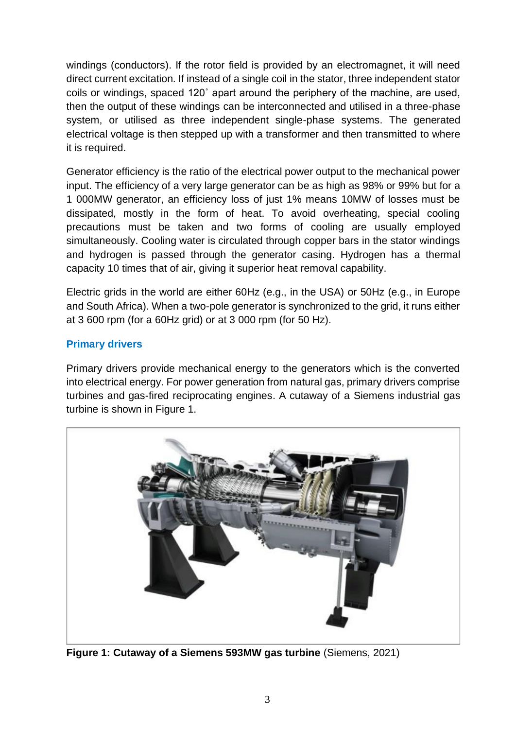windings (conductors). If the rotor field is provided by an electromagnet, it will need direct current excitation. If instead of a single coil in the stator, three independent stator coils or windings, spaced 120˚ apart around the periphery of the machine, are used, then the output of these windings can be interconnected and utilised in a three-phase system, or utilised as three independent single-phase systems. The generated electrical voltage is then stepped up with a transformer and then transmitted to where it is required.

Generator efficiency is the ratio of the electrical power output to the mechanical power input. The efficiency of a very large generator can be as high as 98% or 99% but for a 1 000MW generator, an efficiency loss of just 1% means 10MW of losses must be dissipated, mostly in the form of heat. To avoid overheating, special cooling precautions must be taken and two forms of cooling are usually employed simultaneously. Cooling water is circulated through copper bars in the stator windings and hydrogen is passed through the generator casing. Hydrogen has a thermal capacity 10 times that of air, giving it superior heat removal capability.

Electric grids in the world are either 60Hz (e.g., in the USA) or 50Hz (e.g., in Europe and South Africa). When a two-pole generator is synchronized to the grid, it runs either at 3 600 rpm (for a 60Hz grid) or at 3 000 rpm (for 50 Hz).

### **Primary drivers**

Primary drivers provide mechanical energy to the generators which is the converted into electrical energy. For power generation from natural gas, primary drivers comprise turbines and gas-fired reciprocating engines. A cutaway of a Siemens industrial gas turbine is shown in Figure 1.



**Figure 1: Cutaway of a Siemens 593MW gas turbine** (Siemens, 2021)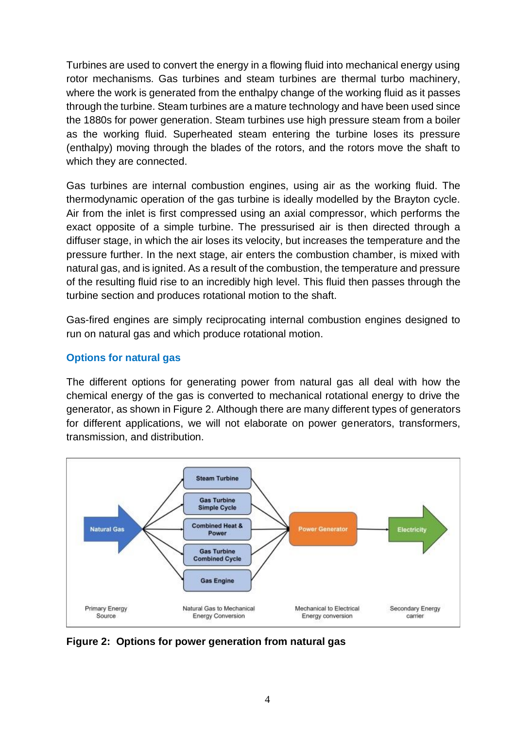Turbines are used to convert the energy in a flowing fluid into mechanical energy using rotor mechanisms. Gas turbines and steam turbines are thermal turbo machinery, where the work is generated from the enthalpy change of the working fluid as it passes through the turbine. Steam turbines are a mature technology and have been used since the 1880s for power generation. Steam turbines use high pressure steam from a boiler as the working fluid. Superheated steam entering the turbine loses its pressure (enthalpy) moving through the blades of the rotors, and the rotors move the shaft to which they are connected.

Gas turbines are internal combustion engines, using air as the working fluid. The thermodynamic operation of the gas turbine is ideally modelled by the Brayton cycle. Air from the inlet is first compressed using an axial compressor, which performs the exact opposite of a simple turbine. The pressurised air is then directed through a diffuser stage, in which the air loses its velocity, but increases the temperature and the pressure further. In the next stage, air enters the combustion chamber, is mixed with natural gas, and is ignited. As a result of the combustion, the temperature and pressure of the resulting fluid rise to an incredibly high level. This fluid then passes through the turbine section and produces rotational motion to the shaft.

Gas-fired engines are simply reciprocating internal combustion engines designed to run on natural gas and which produce rotational motion.

### **Options for natural gas**

The different options for generating power from natural gas all deal with how the chemical energy of the gas is converted to mechanical rotational energy to drive the generator, as shown in Figure 2. Although there are many different types of generators for different applications, we will not elaborate on power generators, transformers, transmission, and distribution.



**Figure 2: Options for power generation from natural gas**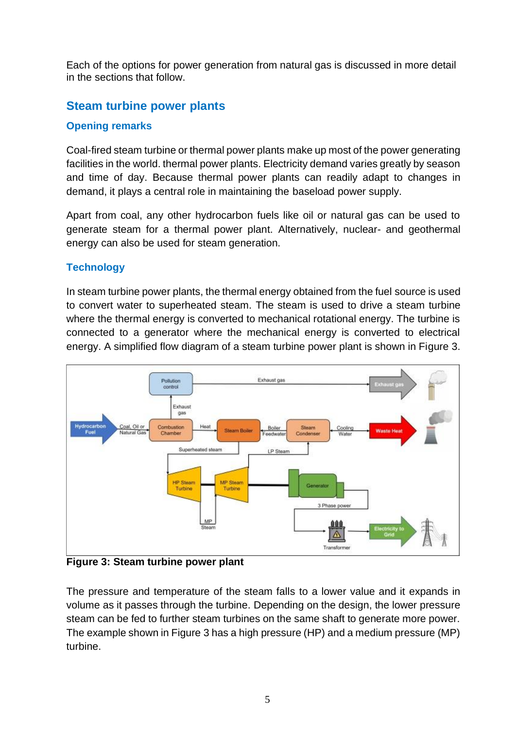Each of the options for power generation from natural gas is discussed in more detail in the sections that follow.

# **Steam turbine power plants**

### **Opening remarks**

Coal-fired steam turbine or thermal power plants make up most of the power generating facilities in the world. thermal power plants. Electricity demand varies greatly by season and time of day. Because thermal power plants can readily adapt to changes in demand, it plays a central role in maintaining the baseload power supply.

Apart from coal, any other hydrocarbon fuels like oil or natural gas can be used to generate steam for a thermal power plant. Alternatively, nuclear- and geothermal energy can also be used for steam generation.

# **Technology**

In steam turbine power plants, the thermal energy obtained from the fuel source is used to convert water to superheated steam. The steam is used to drive a steam turbine where the thermal energy is converted to mechanical rotational energy. The turbine is connected to a generator where the mechanical energy is converted to electrical energy. A simplified flow diagram of a steam turbine power plant is shown in Figure 3.



**Figure 3: Steam turbine power plant**

The pressure and temperature of the steam falls to a lower value and it expands in volume as it passes through the turbine. Depending on the design, the lower pressure steam can be fed to further steam turbines on the same shaft to generate more power. The example shown in Figure 3 has a high pressure (HP) and a medium pressure (MP) turbine.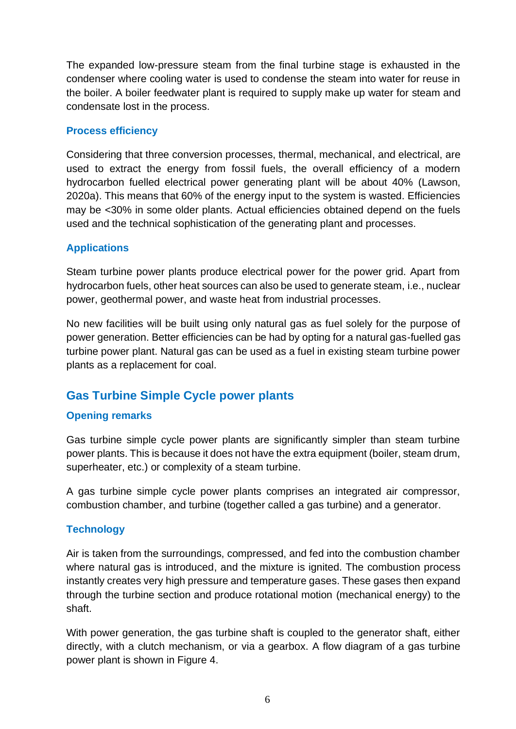The expanded low-pressure steam from the final turbine stage is exhausted in the condenser where cooling water is used to condense the steam into water for reuse in the boiler. A boiler feedwater plant is required to supply make up water for steam and condensate lost in the process.

#### **Process efficiency**

Considering that three conversion processes, thermal, mechanical, and electrical, are used to extract the energy from fossil fuels, the overall efficiency of a modern hydrocarbon fuelled electrical power generating plant will be about 40% (Lawson, 2020a). This means that 60% of the energy input to the system is wasted. Efficiencies may be <30% in some older plants. Actual efficiencies obtained depend on the fuels used and the technical sophistication of the generating plant and processes.

#### **Applications**

Steam turbine power plants produce electrical power for the power grid. Apart from hydrocarbon fuels, other heat sources can also be used to generate steam, i.e., nuclear power, geothermal power, and waste heat from industrial processes.

No new facilities will be built using only natural gas as fuel solely for the purpose of power generation. Better efficiencies can be had by opting for a natural gas-fuelled gas turbine power plant. Natural gas can be used as a fuel in existing steam turbine power plants as a replacement for coal.

# **Gas Turbine Simple Cycle power plants**

### **Opening remarks**

Gas turbine simple cycle power plants are significantly simpler than steam turbine power plants. This is because it does not have the extra equipment (boiler, steam drum, superheater, etc.) or complexity of a steam turbine.

A gas turbine simple cycle power plants comprises an integrated air compressor, combustion chamber, and turbine (together called a gas turbine) and a generator.

### **Technology**

Air is taken from the surroundings, compressed, and fed into the combustion chamber where natural gas is introduced, and the mixture is ignited. The combustion process instantly creates very high pressure and temperature gases. These gases then expand through the turbine section and produce rotational motion (mechanical energy) to the shaft.

With power generation, the gas turbine shaft is coupled to the generator shaft, either directly, with a clutch mechanism, or via a gearbox. A flow diagram of a gas turbine power plant is shown in Figure 4.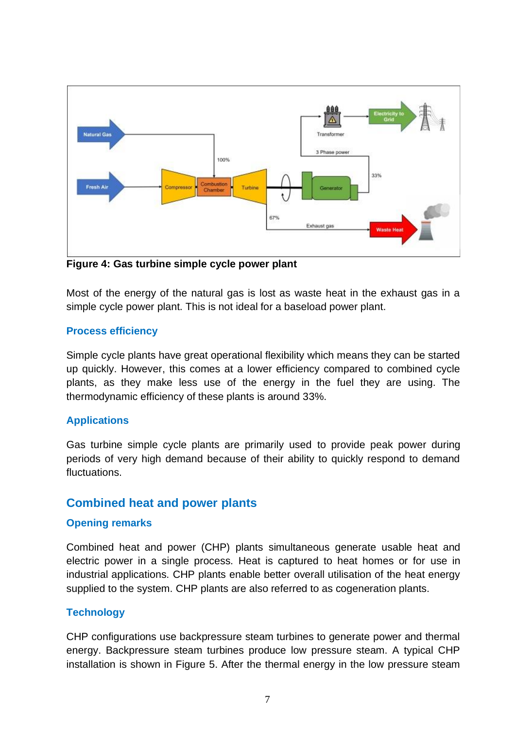

**Figure 4: Gas turbine simple cycle power plant**

Most of the energy of the natural gas is lost as waste heat in the exhaust gas in a simple cycle power plant. This is not ideal for a baseload power plant.

#### **Process efficiency**

Simple cycle plants have great operational flexibility which means they can be started up quickly. However, this comes at a lower efficiency compared to combined cycle plants, as they make less use of the energy in the fuel they are using. The thermodynamic efficiency of these plants is around 33%.

#### **Applications**

Gas turbine simple cycle plants are primarily used to provide peak power during periods of very high demand because of their ability to quickly respond to demand fluctuations.

### **Combined heat and power plants**

#### **Opening remarks**

Combined heat and power (CHP) plants simultaneous generate usable heat and electric power in a single process. Heat is captured to heat homes or for use in industrial applications. CHP plants enable better overall utilisation of the heat energy supplied to the system. CHP plants are also referred to as cogeneration plants.

### **Technology**

CHP configurations use backpressure steam turbines to generate power and thermal energy. Backpressure steam turbines produce low pressure steam. A typical CHP installation is shown in Figure 5. After the thermal energy in the low pressure steam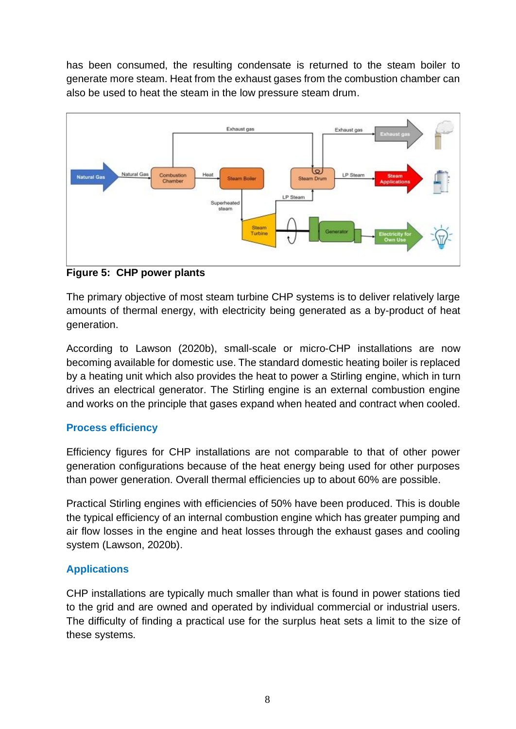has been consumed, the resulting condensate is returned to the steam boiler to generate more steam. Heat from the exhaust gases from the combustion chamber can also be used to heat the steam in the low pressure steam drum.



**Figure 5: CHP power plants**

The primary objective of most steam turbine CHP systems is to deliver relatively large amounts of thermal energy, with electricity being generated as a by-product of heat generation.

According to Lawson (2020b), small-scale or micro-CHP installations are now becoming available for domestic use. The standard domestic heating boiler is replaced by a heating unit which also provides the heat to power a Stirling engine, which in turn drives an electrical generator. The Stirling engine is an external combustion engine and works on the principle that gases expand when heated and contract when cooled.

# **Process efficiency**

Efficiency figures for CHP installations are not comparable to that of other power generation configurations because of the heat energy being used for other purposes than power generation. Overall thermal efficiencies up to about 60% are possible.

Practical Stirling engines with efficiencies of 50% have been produced. This is double the typical efficiency of an internal combustion engine which has greater pumping and air flow losses in the engine and heat losses through the exhaust gases and cooling system (Lawson, 2020b).

# **Applications**

CHP installations are typically much smaller than what is found in power stations tied to the grid and are owned and operated by individual commercial or industrial users. The difficulty of finding a practical use for the surplus heat sets a limit to the size of these systems.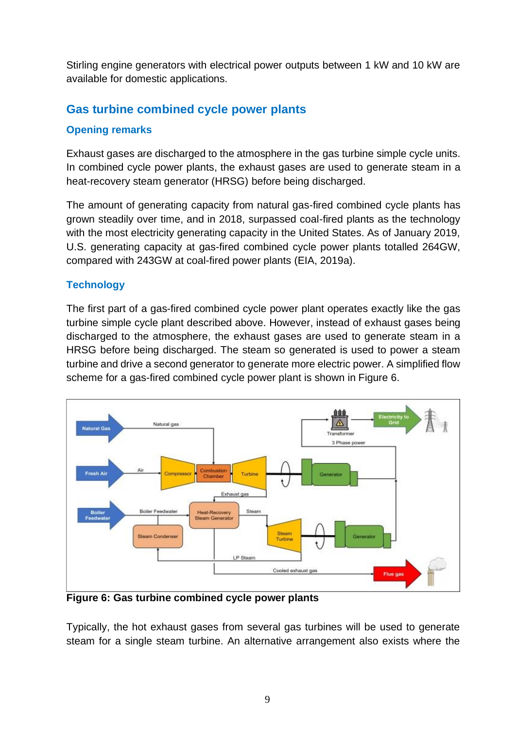Stirling engine generators with electrical power outputs between 1 kW and 10 kW are available for domestic applications.

# **Gas turbine combined cycle power plants**

### **Opening remarks**

Exhaust gases are discharged to the atmosphere in the gas turbine simple cycle units. In combined cycle power plants, the exhaust gases are used to generate steam in a heat-recovery steam generator (HRSG) before being discharged.

The amount of generating capacity from natural gas-fired combined cycle plants has grown steadily over time, and in 2018, surpassed coal-fired plants as the technology with the most electricity generating capacity in the United States. As of January 2019, U.S. generating capacity at gas-fired combined cycle power plants totalled 264GW, compared with 243GW at coal-fired power plants (EIA, 2019a).

### **Technology**

The first part of a gas-fired combined cycle power plant operates exactly like the gas turbine simple cycle plant described above. However, instead of exhaust gases being discharged to the atmosphere, the exhaust gases are used to generate steam in a HRSG before being discharged. The steam so generated is used to power a steam turbine and drive a second generator to generate more electric power. A simplified flow scheme for a gas-fired combined cycle power plant is shown in Figure 6.



**Figure 6: Gas turbine combined cycle power plants**

Typically, the hot exhaust gases from several gas turbines will be used to generate steam for a single steam turbine. An alternative arrangement also exists where the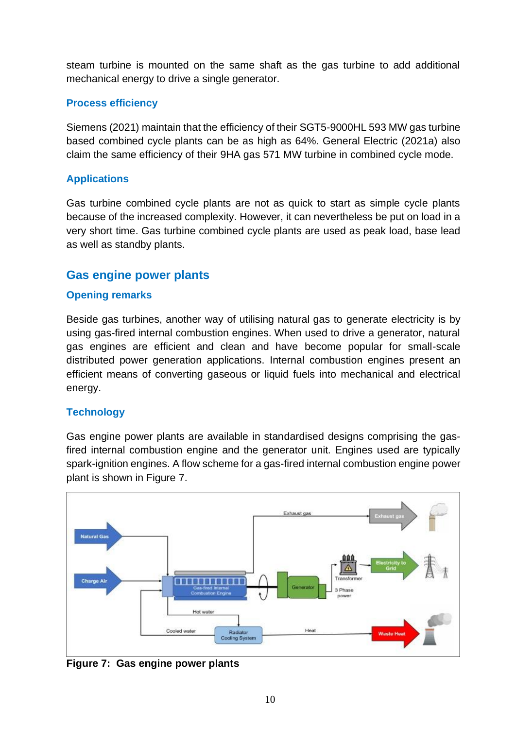steam turbine is mounted on the same shaft as the gas turbine to add additional mechanical energy to drive a single generator.

### **Process efficiency**

Siemens (2021) maintain that the efficiency of their SGT5-9000HL 593 MW gas turbine based combined cycle plants can be as high as 64%. General Electric (2021a) also claim the same efficiency of their 9HA gas 571 MW turbine in combined cycle mode.

### **Applications**

Gas turbine combined cycle plants are not as quick to start as simple cycle plants because of the increased complexity. However, it can nevertheless be put on load in a very short time. Gas turbine combined cycle plants are used as peak load, base lead as well as standby plants.

# **Gas engine power plants**

#### **Opening remarks**

Beside gas turbines, another way of utilising natural gas to generate electricity is by using gas-fired internal combustion engines. When used to drive a generator, natural gas engines are efficient and clean and have become popular for small-scale distributed power generation applications. Internal combustion engines present an efficient means of converting gaseous or liquid fuels into mechanical and electrical energy.

### **Technology**

Gas engine power plants are available in standardised designs comprising the gasfired internal combustion engine and the generator unit. Engines used are typically spark-ignition engines. A flow scheme for a gas-fired internal combustion engine power plant is shown in Figure 7.



**Figure 7: Gas engine power plants**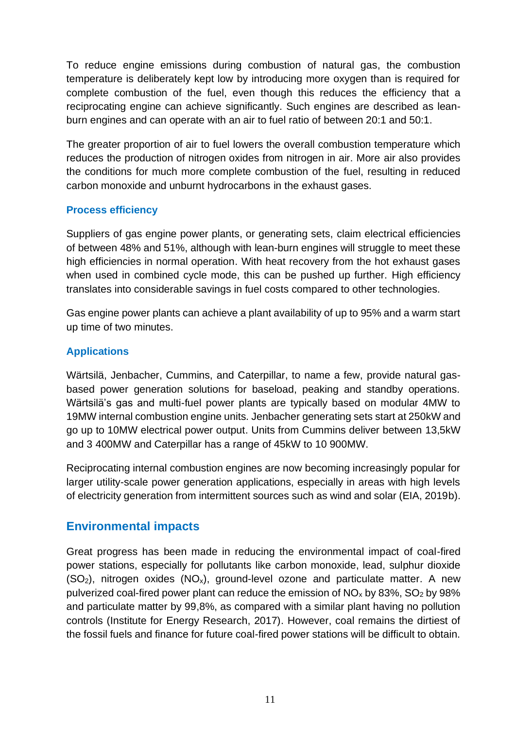To reduce engine emissions during combustion of natural gas, the combustion temperature is deliberately kept low by introducing more oxygen than is required for complete combustion of the fuel, even though this reduces the efficiency that a reciprocating engine can achieve significantly. Such engines are described as leanburn engines and can operate with an air to fuel ratio of between 20:1 and 50:1.

The greater proportion of air to fuel lowers the overall combustion temperature which reduces the production of nitrogen oxides from nitrogen in air. More air also provides the conditions for much more complete combustion of the fuel, resulting in reduced carbon monoxide and unburnt hydrocarbons in the exhaust gases.

### **Process efficiency**

Suppliers of gas engine power plants, or generating sets, claim electrical efficiencies of between 48% and 51%, although with lean-burn engines will struggle to meet these high efficiencies in normal operation. With heat recovery from the hot exhaust gases when used in combined cycle mode, this can be pushed up further. High efficiency translates into considerable savings in fuel costs compared to other technologies.

Gas engine power plants can achieve a plant availability of up to 95% and a warm start up time of two minutes.

### **Applications**

Wärtsilä, Jenbacher, Cummins, and Caterpillar, to name a few, provide natural gasbased power generation solutions for baseload, peaking and standby operations. Wärtsilä's gas and multi-fuel power plants are typically based on modular 4MW to 19MW internal combustion engine units. Jenbacher generating sets start at 250kW and go up to 10MW electrical power output. Units from Cummins deliver between 13,5kW and 3 400MW and Caterpillar has a range of 45kW to 10 900MW.

Reciprocating internal combustion engines are now becoming increasingly popular for larger utility-scale power generation applications, especially in areas with high levels of electricity generation from intermittent sources such as wind and solar (EIA, 2019b).

# **Environmental impacts**

Great progress has been made in reducing the environmental impact of coal-fired power stations, especially for pollutants like carbon monoxide, lead, sulphur dioxide  $(SO<sub>2</sub>)$ , nitrogen oxides  $(NO<sub>x</sub>)$ , ground-level ozone and particulate matter. A new pulverized coal-fired power plant can reduce the emission of  $NO_x$  by 83%,  $SO_2$  by 98% and particulate matter by 99,8%, as compared with a similar plant having no pollution controls (Institute for Energy Research, 2017). However, coal remains the dirtiest of the fossil fuels and finance for future coal-fired power stations will be difficult to obtain.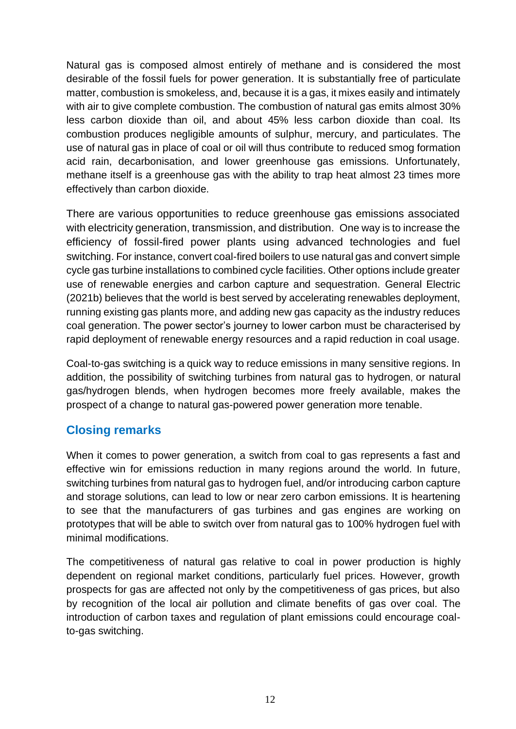Natural gas is composed almost entirely of methane and is considered the most desirable of the fossil fuels for power generation. It is substantially free of particulate matter, combustion is smokeless, and, because it is a gas, it mixes easily and intimately with air to give complete combustion. The combustion of natural gas emits almost 30% less carbon dioxide than oil, and about 45% less carbon dioxide than coal. Its combustion produces negligible amounts of sulphur, mercury, and particulates. The use of natural gas in place of coal or oil will thus contribute to reduced smog formation acid rain, decarbonisation, and lower greenhouse gas emissions. Unfortunately, methane itself is a greenhouse gas with the ability to trap heat almost 23 times more effectively than carbon dioxide.

There are various opportunities to reduce greenhouse gas emissions associated with electricity generation, transmission, and distribution. One way is to increase the efficiency of fossil-fired power plants using advanced technologies and fuel switching. For instance, convert coal-fired boilers to use natural gas and convert simple cycle gas turbine installations to combined cycle facilities. Other options include greater use of renewable energies and carbon capture and sequestration. General Electric (2021b) believes that the world is best served by accelerating renewables deployment, running existing gas plants more, and adding new gas capacity as the industry reduces coal generation. The power sector's journey to lower carbon must be characterised by rapid deployment of renewable energy resources and a rapid reduction in coal usage.

Coal-to-gas switching is a quick way to reduce emissions in many sensitive regions. In addition, the possibility of switching turbines from natural gas to hydrogen, or natural gas/hydrogen blends, when hydrogen becomes more freely available, makes the prospect of a change to natural gas-powered power generation more tenable.

# **Closing remarks**

When it comes to power generation, a switch from coal to gas represents a fast and effective win for emissions reduction in many regions around the world. In future, switching turbines from natural gas to hydrogen fuel, and/or introducing carbon capture and storage solutions, can lead to low or near zero carbon emissions. It is heartening to see that the manufacturers of gas turbines and gas engines are working on prototypes that will be able to switch over from natural gas to 100% hydrogen fuel with minimal modifications.

The competitiveness of natural gas relative to coal in power production is highly dependent on regional market conditions, particularly fuel prices. However, growth prospects for gas are affected not only by the competitiveness of gas prices, but also by recognition of the local air pollution and climate benefits of gas over coal. The introduction of carbon taxes and regulation of plant emissions could encourage coalto-gas switching.